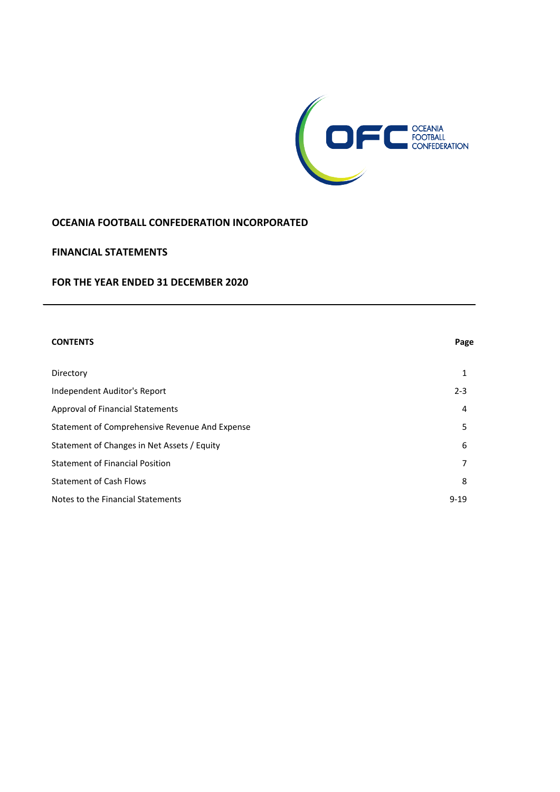

### **OCEANIA FOOTBALL CONFEDERATION INCORPORATED**

### **FINANCIAL STATEMENTS**

### **FOR THE YEAR ENDED 31 DECEMBER 2020**

| <b>CONTENTS</b>                                | Page     |
|------------------------------------------------|----------|
| Directory                                      | 1        |
| Independent Auditor's Report                   | $2 - 3$  |
| <b>Approval of Financial Statements</b>        | 4        |
| Statement of Comprehensive Revenue And Expense | 5        |
| Statement of Changes in Net Assets / Equity    | 6        |
| <b>Statement of Financial Position</b>         | 7        |
| <b>Statement of Cash Flows</b>                 | 8        |
| Notes to the Financial Statements              | $9 - 19$ |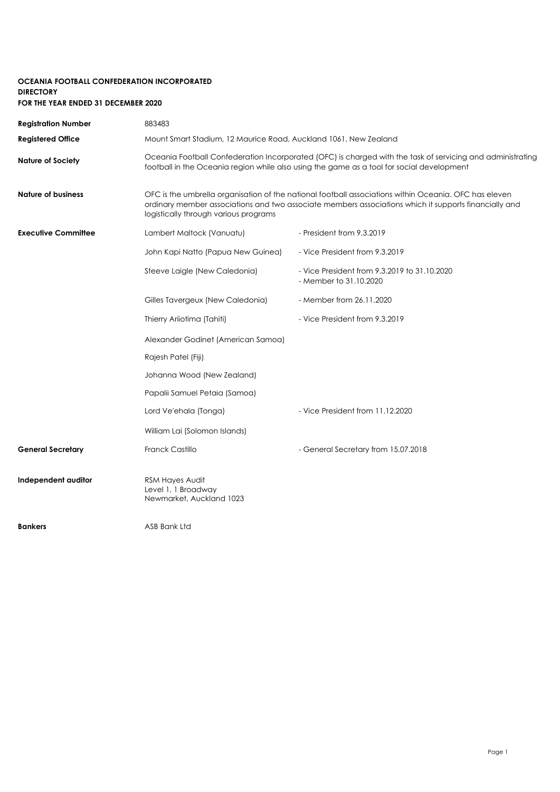### **OCEANIA FOOTBALL CONFEDERATION INCORPORATED DIRECTORY FOR THE YEAR ENDED 31 DECEMBER 2020**

| <b>Registration Number</b> | 883483                                                                                                                                                                                                                                                  |                                                                        |  |
|----------------------------|---------------------------------------------------------------------------------------------------------------------------------------------------------------------------------------------------------------------------------------------------------|------------------------------------------------------------------------|--|
| <b>Registered Office</b>   | Mount Smart Stadium, 12 Maurice Road, Auckland 1061, New Zealand                                                                                                                                                                                        |                                                                        |  |
| <b>Nature of Society</b>   | Oceania Football Confederation Incorporated (OFC) is charged with the task of servicing and administrating<br>football in the Oceania region while also using the game as a tool for social development                                                 |                                                                        |  |
| <b>Nature of business</b>  | OFC is the umbrella organisation of the national football associations within Oceania. OFC has eleven<br>ordinary member associations and two associate members associations which it supports financially and<br>logistically through various programs |                                                                        |  |
| <b>Executive Committee</b> | Lambert Maltock (Vanuatu)                                                                                                                                                                                                                               | - President from 9.3.2019                                              |  |
|                            | John Kapi Natto (Papua New Guinea)                                                                                                                                                                                                                      | - Vice President from 9.3.2019                                         |  |
|                            | Steeve Laigle (New Caledonia)                                                                                                                                                                                                                           | - Vice President from 9.3.2019 to 31.10.2020<br>- Member to 31,10,2020 |  |
|                            | Gilles Tavergeux (New Caledonia)                                                                                                                                                                                                                        | - Member from 26.11.2020                                               |  |
|                            | Thierry Ariiotima (Tahiti)                                                                                                                                                                                                                              | - Vice President from 9.3.2019                                         |  |
|                            | Alexander Godinet (American Samoa)                                                                                                                                                                                                                      |                                                                        |  |
|                            | Rajesh Patel (Fiji)                                                                                                                                                                                                                                     |                                                                        |  |
|                            | Johanna Wood (New Zealand)                                                                                                                                                                                                                              |                                                                        |  |
|                            | Papalii Samuel Petaia (Samoa)                                                                                                                                                                                                                           |                                                                        |  |
|                            | Lord Ve'ehala (Tonga)                                                                                                                                                                                                                                   | - Vice President from 11.12.2020                                       |  |
|                            | William Lai (Solomon Islands)                                                                                                                                                                                                                           |                                                                        |  |
| <b>General Secretary</b>   | Franck Castillo                                                                                                                                                                                                                                         | - General Secretary from 15.07.2018                                    |  |
| Independent auditor        | RSM Hayes Audit<br>Level 1, 1 Broadway<br>Newmarket, Auckland 1023                                                                                                                                                                                      |                                                                        |  |
| <b>Bankers</b>             | ASB Bank Ltd                                                                                                                                                                                                                                            |                                                                        |  |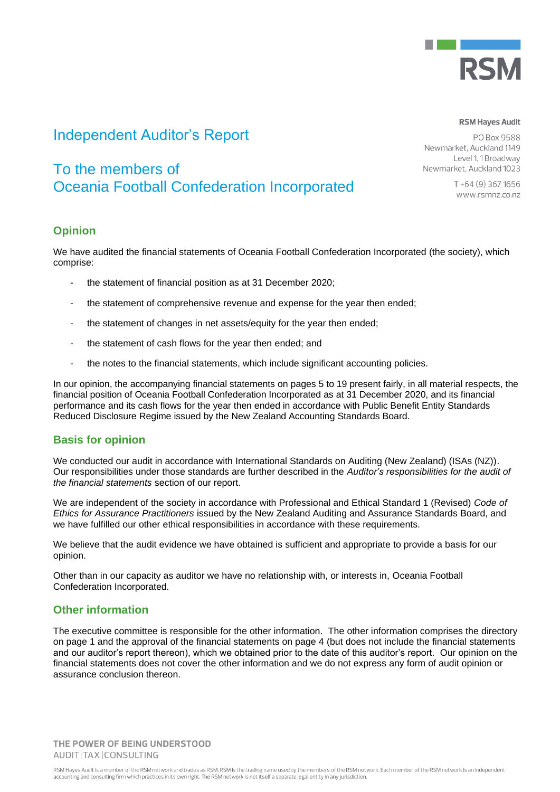

# Independent Auditor's Report

# To the members of Oceania Football Confederation Incorporated

PO Box 9588 Newmarket, Auckland 1149 Level 1, 1 Broadway Newmarket, Auckland 1023

> T+64 (9) 367 1656 www.rsmnz.co.nz

**RSM Haves Audit** 

### **Opinion**

We have audited the financial statements of Oceania Football Confederation Incorporated (the society), which comprise:

- the statement of financial position as at 31 December 2020;
- the statement of comprehensive revenue and expense for the year then ended;
- the statement of changes in net assets/equity for the year then ended;
- the statement of cash flows for the year then ended; and
- the notes to the financial statements, which include significant accounting policies.

In our opinion, the accompanying financial statements on pages 5 to 19 present fairly, in all material respects, the financial position of Oceania Football Confederation Incorporated as at 31 December 2020, and its financial performance and its cash flows for the year then ended in accordance with Public Benefit Entity Standards Reduced Disclosure Regime issued by the New Zealand Accounting Standards Board.

### **Basis for opinion**

We conducted our audit in accordance with International Standards on Auditing (New Zealand) (ISAs (NZ)). Our responsibilities under those standards are further described in the *Auditor's responsibilities for the audit of the financial statements* section of our report.

We are independent of the society in accordance with Professional and Ethical Standard 1 (Revised) *Code of Ethics for Assurance Practitioners* issued by the New Zealand Auditing and Assurance Standards Board, and we have fulfilled our other ethical responsibilities in accordance with these requirements.

We believe that the audit evidence we have obtained is sufficient and appropriate to provide a basis for our opinion.

Other than in our capacity as auditor we have no relationship with, or interests in, Oceania Football Confederation Incorporated.

### **Other information**

The executive committee is responsible for the other information. The other information comprises the directory on page 1 and the approval of the financial statements on page 4 (but does not include the financial statements and our auditor's report thereon), which we obtained prior to the date of this auditor's report. Our opinion on the financial statements does not cover the other information and we do not express any form of audit opinion or assurance conclusion thereon.

THE POWER OF BEING UNDERSTOOD AUDIT|TAX|CONSULTING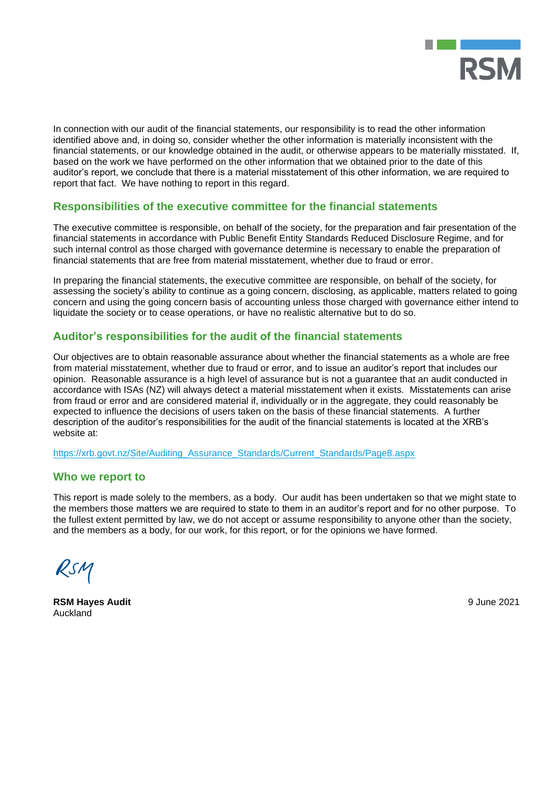

In connection with our audit of the financial statements, our responsibility is to read the other information identified above and, in doing so, consider whether the other information is materially inconsistent with the financial statements, or our knowledge obtained in the audit, or otherwise appears to be materially misstated. If, based on the work we have performed on the other information that we obtained prior to the date of this auditor's report, we conclude that there is a material misstatement of this other information, we are required to report that fact. We have nothing to report in this regard.

### **Responsibilities of the executive committee for the financial statements**

The executive committee is responsible, on behalf of the society, for the preparation and fair presentation of the financial statements in accordance with Public Benefit Entity Standards Reduced Disclosure Regime, and for such internal control as those charged with governance determine is necessary to enable the preparation of financial statements that are free from material misstatement, whether due to fraud or error.

In preparing the financial statements, the executive committee are responsible, on behalf of the society, for assessing the society's ability to continue as a going concern, disclosing, as applicable, matters related to going concern and using the going concern basis of accounting unless those charged with governance either intend to liquidate the society or to cease operations, or have no realistic alternative but to do so.

### **Auditor's responsibilities for the audit of the financial statements**

Our objectives are to obtain reasonable assurance about whether the financial statements as a whole are free from material misstatement, whether due to fraud or error, and to issue an auditor's report that includes our opinion. Reasonable assurance is a high level of assurance but is not a guarantee that an audit conducted in accordance with ISAs (NZ) will always detect a material misstatement when it exists. Misstatements can arise from fraud or error and are considered material if, individually or in the aggregate, they could reasonably be expected to influence the decisions of users taken on the basis of these financial statements. A further description of the auditor's responsibilities for the audit of the financial statements is located at the XRB's website at:

[https://xrb.govt.nz/Site/Auditing\\_Assurance\\_Standards/Current\\_Standards/Page8.aspx](https://xrb.govt.nz/Site/Auditing_Assurance_Standards/Current_Standards/Page8.aspx)

### **Who we report to**

This report is made solely to the members, as a body. Our audit has been undertaken so that we might state to the members those matters we are required to state to them in an auditor's report and for no other purpose. To the fullest extent permitted by law, we do not accept or assume responsibility to anyone other than the society, and the members as a body, for our work, for this report, or for the opinions we have formed.

RSM

**RSM Hayes Audit** 9 June 2021 Auckland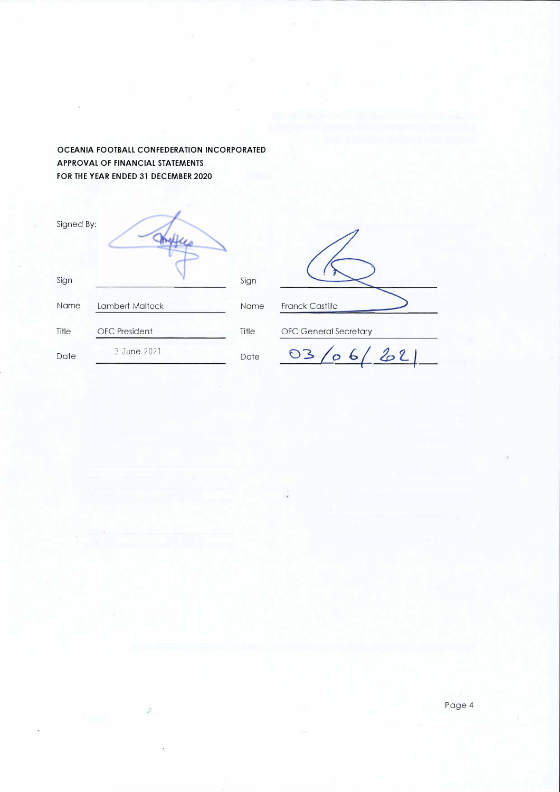### **OCEANIA FOOTBALL CONFEDERATION INCORPORATED APPROVAL OF FINANCIAL STATEMENTS FOR THE YEAR ENDED 31 DECEMBER 2020**

| Signed By: |                      |       |
|------------|----------------------|-------|
| Sign       |                      | Sign  |
| Name       | Lambert Maltock      | Name  |
| Title      | <b>OFC</b> President | Title |
| Date       | 3 June 2021          | Date  |

ğ,

Franck Castillo OFC General Secretary

**03../o** *b( b* **z\_** *f*

Page 4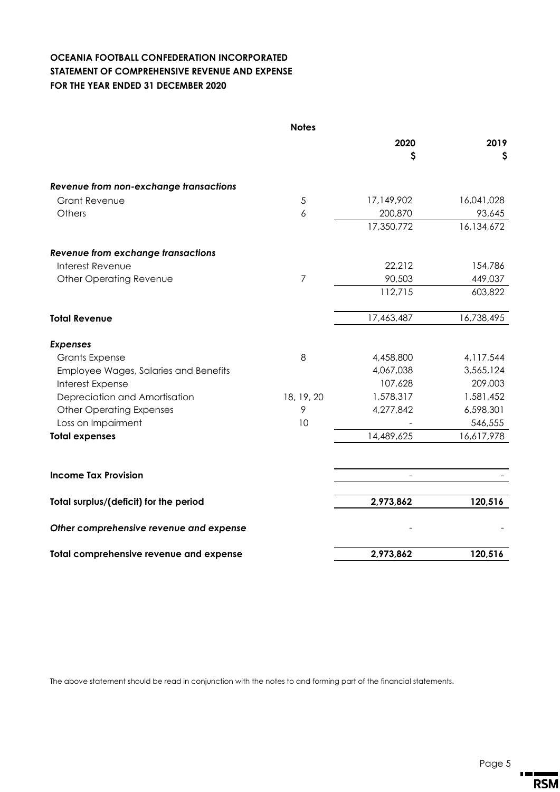## **OCEANIA FOOTBALL CONFEDERATION INCORPORATED STATEMENT OF COMPREHENSIVE REVENUE AND EXPENSE FOR THE YEAR ENDED 31 DECEMBER 2020**

|                                           | <b>Notes</b>   |            |            |
|-------------------------------------------|----------------|------------|------------|
|                                           |                | 2020       | 2019       |
|                                           |                | \$         | \$         |
| Revenue from non-exchange transactions    |                |            |            |
| <b>Grant Revenue</b>                      | 5              | 17,149,902 | 16,041,028 |
| Others                                    | 6              | 200,870    | 93,645     |
|                                           |                | 17,350,772 | 16,134,672 |
| <b>Revenue from exchange transactions</b> |                |            |            |
| Interest Revenue                          |                | 22,212     | 154,786    |
| <b>Other Operating Revenue</b>            | $\overline{7}$ | 90,503     | 449,037    |
|                                           |                | 112,715    | 603,822    |
| <b>Total Revenue</b>                      |                | 17,463,487 | 16,738,495 |
| <b>Expenses</b>                           |                |            |            |
| <b>Grants Expense</b>                     | 8              | 4,458,800  | 4,117,544  |
| Employee Wages, Salaries and Benefits     |                | 4,067,038  | 3,565,124  |
| Interest Expense                          |                | 107,628    | 209,003    |
| Depreciation and Amortisation             | 18, 19, 20     | 1,578,317  | 1,581,452  |
| <b>Other Operating Expenses</b>           | 9              | 4,277,842  | 6,598,301  |
| Loss on Impairment                        | 10             |            | 546,555    |
| <b>Total expenses</b>                     |                | 14,489,625 | 16,617,978 |
| <b>Income Tax Provision</b>               |                |            |            |
|                                           |                |            |            |
| Total surplus/(deficit) for the period    |                | 2,973,862  | 120,516    |
| Other comprehensive revenue and expense   |                |            |            |
| Total comprehensive revenue and expense   |                | 2,973,862  | 120,516    |

The above statement should be read in conjunction with the notes to and forming part of the financial statements.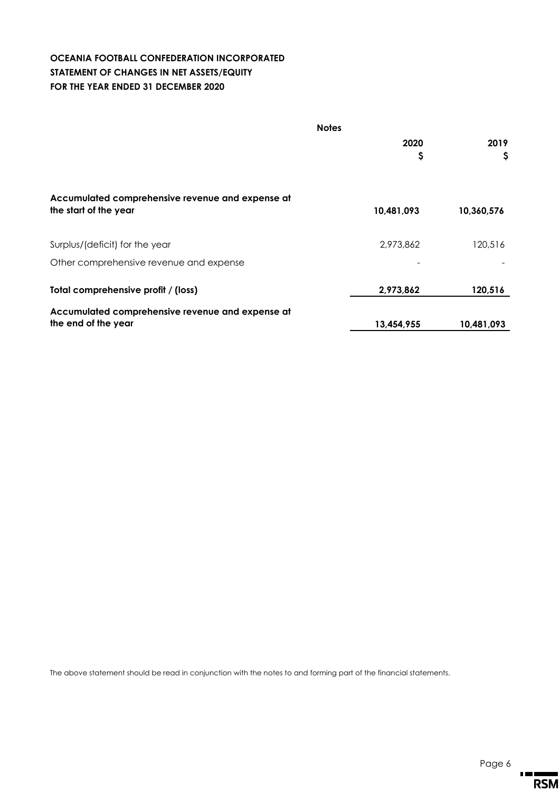### **OCEANIA FOOTBALL CONFEDERATION INCORPORATED STATEMENT OF CHANGES IN NET ASSETS/EQUITY FOR THE YEAR ENDED 31 DECEMBER 2020**

| <b>Notes</b>                                                              |            |            |  |
|---------------------------------------------------------------------------|------------|------------|--|
|                                                                           | 2020       | 2019       |  |
|                                                                           | Ş          | Ş          |  |
| Accumulated comprehensive revenue and expense at<br>the start of the year | 10,481,093 | 10,360,576 |  |
|                                                                           |            |            |  |
| Surplus/(deficit) for the year                                            | 2,973,862  | 120,516    |  |
| Other comprehensive revenue and expense                                   |            |            |  |
| Total comprehensive profit / (loss)                                       | 2,973,862  | 120,516    |  |
| Accumulated comprehensive revenue and expense at                          |            |            |  |
| the end of the year                                                       | 13,454,955 | 10,481,093 |  |

The above statement should be read in conjunction with the notes to and forming part of the financial statements.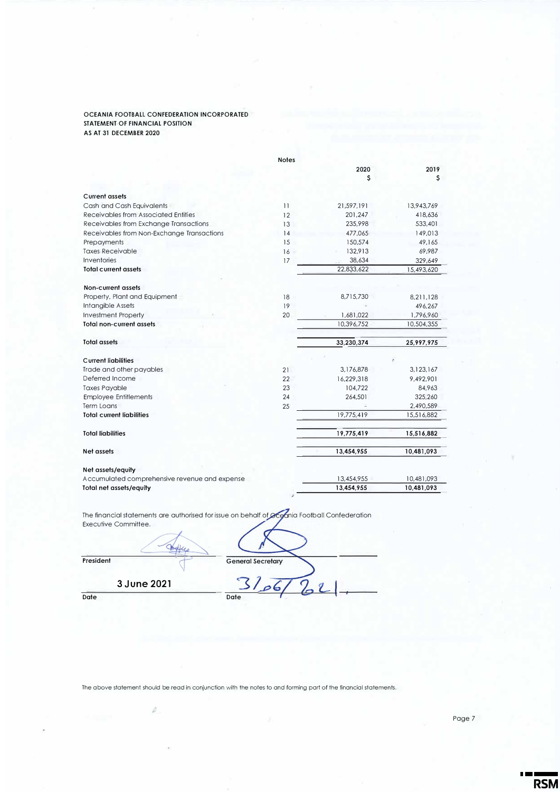#### **OCEANIA FOOTBALL CONFEDERATION INCORPORATED STATEMENT OF FINANCIAL POSITION AS AT 31 DECEMBER 2020**

|                                               | <b>Notes</b> |            |            |
|-----------------------------------------------|--------------|------------|------------|
|                                               |              | 2020       | 2019       |
|                                               |              | s          | s          |
|                                               |              |            |            |
| Current assets                                |              |            |            |
| Cash and Cash Equivalents                     | 11           | 21,597,191 | 13,943,769 |
| Receivables from Associated Entities          | 12           | 201.247    | 418,636    |
| Receivables from Exchange Transactions        | 13           | 235,998    | 533,401    |
| Receivables from Non-Exchange Transactions    | 14           | 477,065    | 149,013    |
| Prepayments                                   | 15           | 150,574    | 49,165     |
| <b>Taxes Receivable</b>                       | 16           | 132,913    | 69,987     |
| Inventories                                   | 17           | 38,634     | 329,649    |
| <b>Total current assets</b>                   |              | 22,833,622 | 15,493,620 |
|                                               |              |            |            |
| Non-current assets                            |              |            |            |
| Property, Plant and Equipment                 | 18           | 8,715,730  | 8,211,128  |
| Intangible Assets                             | 19           |            | 496,267    |
| <b>Investment Property</b>                    | 20           | 1,681,022  | 1,796,960  |
| <b>Total non-current assets</b>               |              | 10,396,752 | 10,504,355 |
|                                               |              |            |            |
| <b>Total assets</b>                           |              | 33,230,374 | 25,997,975 |
| <b>Current liabilities</b>                    |              |            |            |
| Trade and other payables                      | 21           | 3,176,878  | 3,123,167  |
| Deferred Income                               | 22           | 16,229,318 | 9,492,901  |
| <b>Taxes Payable</b>                          | 23           | 104,722    | 84,963     |
| <b>Employee Entitlements</b>                  | 24           | 264,501    | 325,260    |
| Term Loans                                    | 25           |            | 2,490,589  |
| <b>Total current liabilities</b>              |              | 19,775,419 | 15,516,882 |
|                                               |              |            |            |
| <b>Total liabilities</b>                      |              | 19,775,419 | 15,516,882 |
| Net assets                                    |              | 13,454,955 | 10,481,093 |
| Net assets/equity                             |              |            |            |
| Accumulated comprehensive revenue and expense |              | 13,454,955 | 10,481,093 |
| <b>Total net assets/equity</b>                |              | 13,454,955 | 10,481,093 |
|                                               |              |            |            |

The financial statements are authorised for issue on behalf of **Oced**nia Football Confederation Executive Committee.

| LACCONVE CONTININGE. |                          |
|----------------------|--------------------------|
| President            | <b>General Secretary</b> |
| 3 June 2021          |                          |
| <b>Date</b>          | <b>Date</b>              |

The above statement should be read in conjunction with the notes to and forming part of the financial statements.

ú.

**TEL** 

**RSM**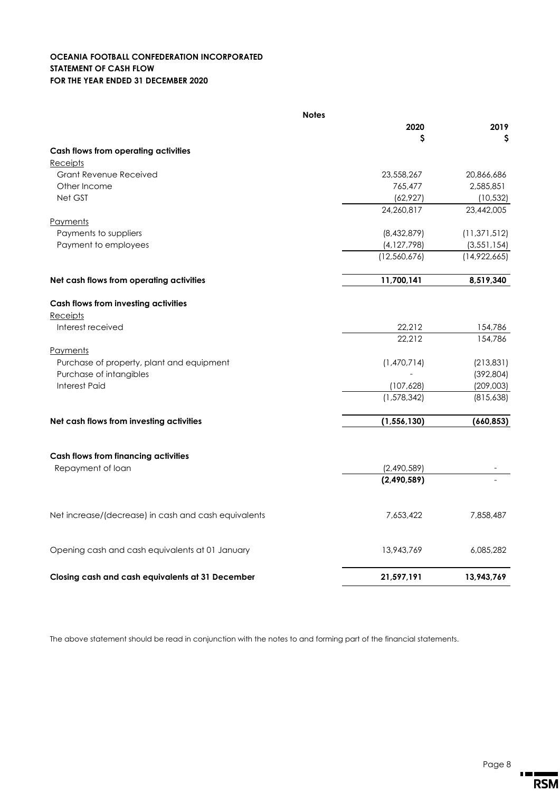### **OCEANIA FOOTBALL CONFEDERATION INCORPORATED STATEMENT OF CASH FLOW FOR THE YEAR ENDED 31 DECEMBER 2020**

| <b>Notes</b>                                         |               |                |
|------------------------------------------------------|---------------|----------------|
|                                                      | 2020          | 2019           |
|                                                      | \$            | \$             |
| Cash flows from operating activities                 |               |                |
| Receipts                                             |               |                |
| <b>Grant Revenue Received</b>                        | 23,558,267    | 20,866,686     |
| Other Income                                         | 765,477       | 2,585,851      |
| Net GST                                              | (62, 927)     | (10, 532)      |
|                                                      | 24,260,817    | 23,442,005     |
| <b>Payments</b>                                      |               |                |
| Payments to suppliers                                | (8,432,879)   | (11, 371, 512) |
| Payment to employees                                 | (4, 127, 798) | (3, 551, 154)  |
|                                                      | (12,560,676)  | (14,922,665)   |
| Net cash flows from operating activities             | 11,700,141    | 8,519,340      |
| Cash flows from investing activities                 |               |                |
| Receipts                                             |               |                |
| Interest received                                    | 22,212        | 154,786        |
|                                                      | 22,212        | 154,786        |
| Payments                                             |               |                |
| Purchase of property, plant and equipment            | (1,470,714)   | (213,831)      |
| Purchase of intangibles                              |               | (392, 804)     |
| <b>Interest Paid</b>                                 | (107, 628)    | (209,003)      |
|                                                      | (1,578,342)   | (815,638)      |
|                                                      |               |                |
| Net cash flows from investing activities             | (1, 556, 130) | (660, 853)     |
|                                                      |               |                |
| <b>Cash flows from financing activities</b>          |               |                |
| Repayment of loan                                    | (2,490,589)   |                |
|                                                      | (2,490,589)   |                |
|                                                      |               |                |
| Net increase/(decrease) in cash and cash equivalents | 7,653,422     | 7,858,487      |
| Opening cash and cash equivalents at 01 January      | 13,943,769    | 6,085,282      |
| Closing cash and cash equivalents at 31 December     | 21,597,191    | 13,943,769     |
|                                                      |               |                |

The above statement should be read in conjunction with the notes to and forming part of the financial statements.

 $\mathbf{r}$  and  $\mathbf{r}$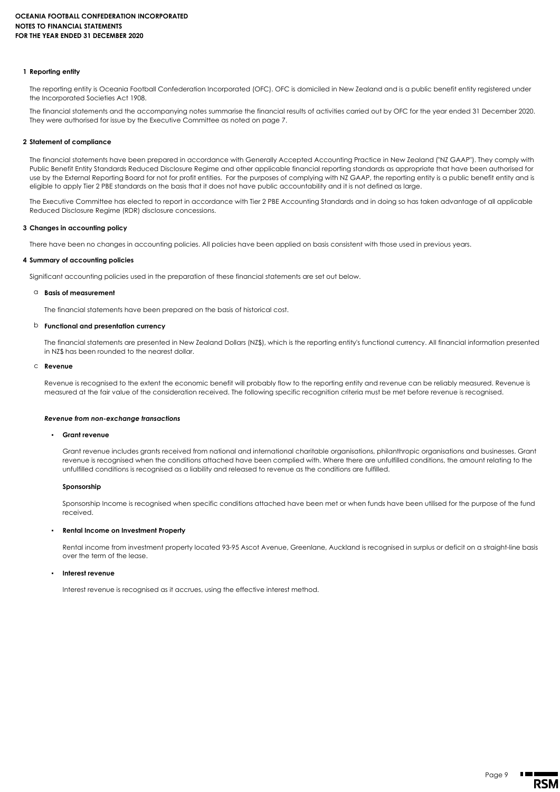#### **1 Reporting entity**

The reporting entity is Oceania Football Confederation Incorporated (OFC). OFC is domiciled in New Zealand and is a public benefit entity registered under the Incorporated Societies Act 1908.

The financial statements and the accompanying notes summarise the financial results of activities carried out by OFC for the year ended 31 December 2020. They were authorised for issue by the Executive Committee as noted on page 7.

#### **2 Statement of compliance**

The financial statements have been prepared in accordance with Generally Accepted Accounting Practice in New Zealand ("NZ GAAP"). They comply with Public Benefit Entity Standards Reduced Disclosure Regime and other applicable financial reporting standards as appropriate that have been authorised for use by the External Reporting Board for not for profit entities. For the purposes of complying with NZ GAAP, the reporting entity is a public benefit entity and is eligible to apply Tier 2 PBE standards on the basis that it does not have public accountability and it is not defined as large.

The Executive Committee has elected to report in accordance with Tier 2 PBE Accounting Standards and in doing so has taken advantage of all applicable Reduced Disclosure Regime (RDR) disclosure concessions.

#### **3 Changes in accounting policy**

There have been no changes in accounting policies. All policies have been applied on basis consistent with those used in previous years.

#### **4 Summary of accounting policies**

Significant accounting policies used in the preparation of these financial statements are set out below.

#### a **Basis of measurement**

The financial statements have been prepared on the basis of historical cost.

#### b **Functional and presentation currency**

The financial statements are presented in New Zealand Dollars (NZ\$), which is the reporting entity's functional currency. All financial information presented in NZ\$ has been rounded to the nearest dollar.

#### c **Revenue**

Revenue is recognised to the extent the economic benefit will probably flow to the reporting entity and revenue can be reliably measured. Revenue is measured at the fair value of the consideration received. The following specific recognition criteria must be met before revenue is recognised.

#### *Revenue from non-exchange transactions*

#### **Grant revenue**

Grant revenue includes grants received from national and international charitable organisations, philanthropic organisations and businesses. Grant revenue is recognised when the conditions attached have been complied with. Where there are unfulfilled conditions, the amount relating to the unfulfilled conditions is recognised as a liability and released to revenue as the conditions are fulfilled.

#### **Sponsorship**

Sponsorship Income is recognised when specific conditions attached have been met or when funds have been utilised for the purpose of the fund received.

#### ▪ **Rental Income on Investment Property**

Rental income from investment property located 93-95 Ascot Avenue, Greenlane, Auckland is recognised in surplus or deficit on a straight-line basis over the term of the lease.

#### **Interest revenue**

Interest revenue is recognised as it accrues, using the effective interest method.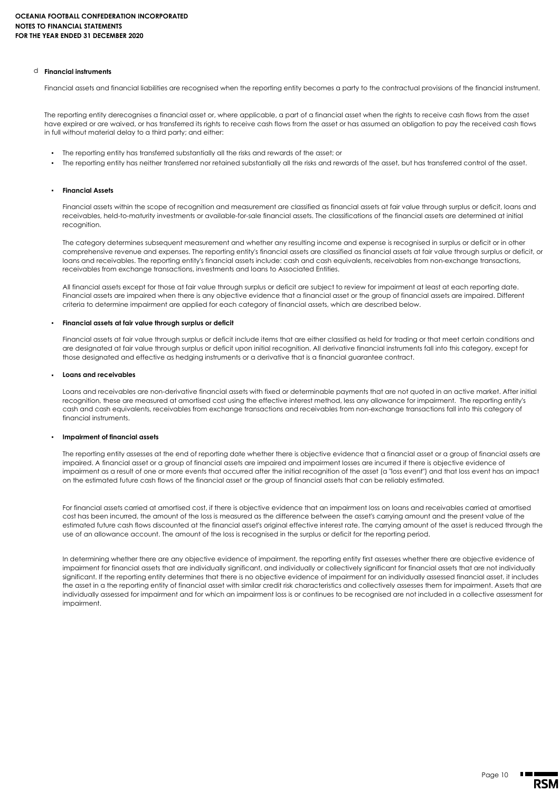#### d **Financial instruments**

Financial assets and financial liabilities are recognised when the reporting entity becomes a party to the contractual provisions of the financial instrument.

The reporting entity derecognises a financial asset or, where applicable, a part of a financial asset when the rights to receive cash flows from the asset have expired or are waived, or has transferred its rights to receive cash flows from the asset or has assumed an obligation to pay the received cash flows in full without material delay to a third party; and either:

- The reporting entity has transferred substantially all the risks and rewards of the asset; or
- The reporting entity has neither transferred nor retained substantially all the risks and rewards of the asset, but has transferred control of the asset.

#### ▪ **Financial Assets**

Financial assets within the scope of recognition and measurement are classified as financial assets at fair value through surplus or deficit, loans and receivables, held-to-maturity investments or available-for-sale financial assets. The classifications of the financial assets are determined at initial recognition

The category determines subsequent measurement and whether any resulting income and expense is recognised in surplus or deficit or in other comprehensive revenue and expenses. The reporting entity's financial assets are classified as financial assets at fair value through surplus or deficit, or loans and receivables. The reporting entity's financial assets include: cash and cash equivalents, receivables from non-exchange transactions, receivables from exchange transactions, investments and loans to Associated Entities.

All financial assets except for those at fair value through surplus or deficit are subject to review for impairment at least at each reporting date. Financial assets are impaired when there is any objective evidence that a financial asset or the group of financial assets are impaired. Different criteria to determine impairment are applied for each category of financial assets, which are described below.

#### ▪ **Financial assets at fair value through surplus or deficit**

or deficit<br>or deficit include items that are either classified as he<br>or deficit upon initial recognition. All derivative finance<br>instruments or a derivative that is a financial guarant Financial assets at fair value through surplus or deficit include items that are either classified as held for trading or that meet certain conditions and are designated at fair value through surplus or deficit upon initial recognition. All derivative financial instruments fall into this category, except for those designated and effective as hedging instruments or a derivative that is a financial guarantee contract.

#### ▪ **Loans and receivables**

nancial assets with fixed or determinable payments the<br>d cost using the effective interest method, less any a<br>m exchange transactions and receivables from non-e Loans and receivables are non-derivative financial assets with fixed or determinable payments that are not quoted in an active market. After initial recognition, these are measured at amortised cost using the effective interest method, less any allowance for impairment. The reporting entity's cash and cash equivalents, receivables from exchange transactions and receivables from non-exchange transactions fall into this category of financial instruments.

#### ▪ **Impairment of financial assets**

The reporting entity assesses at the end of reporting date whether there is objective evidence that a financial asset or a group of financial assets are impaired. A financial asset or a group of financial assets are impaired and impairment losses are incurred if there is objective evidence of impairment as a result of one or more events that occurred after the initial recognition of the asset (a "loss event") and that loss event has an impact on the estimated future cash flows of the financial asset or the group of financial assets that can be reliably estimated.

For financial assets carried at amortised cost, if there is objective evidence that an impairment loss on loans and receivables carried at amortised cost has been incurred, the amount of the loss is measured as the difference between the asset's carrying amount and the present value of the estimated future cash flows discounted at the financial asset's original effective interest rate. The carrying amount of the asset is reduced through the use of an allowance account. The amount of the loss is recognised in the surplus or deficit for the reporting period.

In determining whether there are any objective evidence of impairment, the reporting entity first assesses whether there are objective evidence of impairment for financial assets that are individually significant, and individually or collectively significant for financial assets that are not individually significant. If the reporting entity determines that there is no objective evidence of impairment for an individually assessed financial asset, it includes the asset in a the reporting entity of financial asset with similar credit risk characteristics and collectively assesses them for impairment. Assets that are individually assessed for impairment and for which an impairment loss is or continues to be recognised are not included in a collective assessment for impairment.

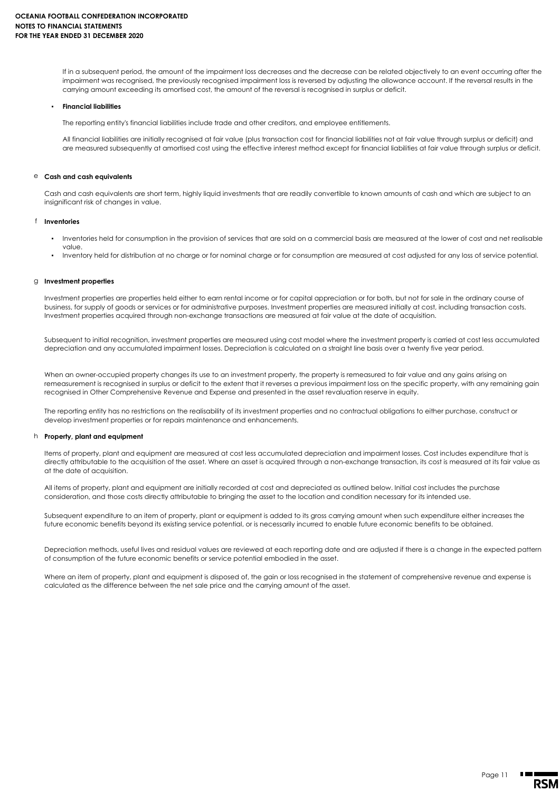If in a subsequent period, the amount of the impairment loss decreases and the decrease can be related objectively to an event occurring after the impairment was recognised, the previously recognised impairment loss is reversed by adjusting the allowance account. If the reversal results in the carrying amount exceeding its amortised cost, the amount of the reversal is recognised in surplus or deficit.

#### ▪ **Financial liabilities**

The reporting entity's financial liabilities include trade and other creditors, and employee entitlements.

All financial liabilities are initially recognised at fair value (plus transaction cost for financial liabilities not at fair value through surplus or deficit) and are measured subsequently at amortised cost using the effective interest method except for financial liabilities at fair value through surplus or deficit.

#### e **Cash and cash equivalents**

Cash and cash equivalents are short term, highly liquid investments that are readily convertible to known amounts of cash and which are subject to an insignificant risk of changes in value.

#### f **Inventories**

- Inventories held for consumption in the provision of services that are sold on a commercial basis are measured at the lower of cost and net realisable value.
- Inventory held for distribution at no charge or for nominal charge or for consumption are measured at cost adjusted for any loss of service potential.

g **Investment properties**<br>Investment properties are properties held either to earn rental income or for capital appreciation or for<br>business, for supply of goods or services or for administrative purposes. Investment prope Investment properties are properties held either to earn rental income or for capital appreciation or for both, but not for sale in the ordinary course of business, for supply of goods or services or for administrative purposes. Investment properties are measured initially at cost, including transaction costs. Investment properties acquired through non-exchange transactions are measured at fair value at the date of acquisition.

Subsequent to initial recognition, investment properties are measured using cost model where the investment property is carried at cost less accumulated depreciation and any accumulated impairment losses. Depreciation is calculated on a straight line basis over a twenty five year period.

When an owner-occupied property changes its use to an investment property, the property is remeasured to fair value and any gains arising on remeasurement is recognised in surplus or deficit to the extent that it reverses a previous impairment loss on the specific property, with any remaining gain recognised in Other Comprehensive Revenue and Expense and presented in the asset revaluation reserve in equity.

The reporting entity has no restrictions on the realisability of its investment properties and no contractual obligations to either purchase, construct or develop investment properties or for repairs maintenance and enhancements.

### h **Property, plant and equipment**

Items of property, plant and equipment are measured at cost less accumulated depreciation and impairment losses. Cost includes expenditure that is directly attributable to the acquisition of the asset. Where an asset is acquired through a non-exchange transaction, its cost is measured at its fair value as at the date of acquisition.

All items of property, plant and equipment are initially recorded at cost and depreciated as outlined below. Initial cost includes the purchase consideration, and those costs directly attributable to bringing the asset to the location and condition necessary for its intended use.

Subsequent expenditure to an item of property, plant or equipment is added to its gross carrying amount when such expenditure either increases the future economic benefits beyond its existing service potential, or is necessarily incurred to enable future economic benefits to be obtained.

Depreciation methods, useful lives and residual values are reviewed at each reporting date and are adjusted if there is a change in the expected pattern of consumption of the future economic benefits or service potential embodied in the asset.

Where an item of property, plant and equipment is disposed of, the gain or loss recognised in the statement of comprehensive revenue and expense is calculated as the difference between the net sale price and the carrying amount of the asset.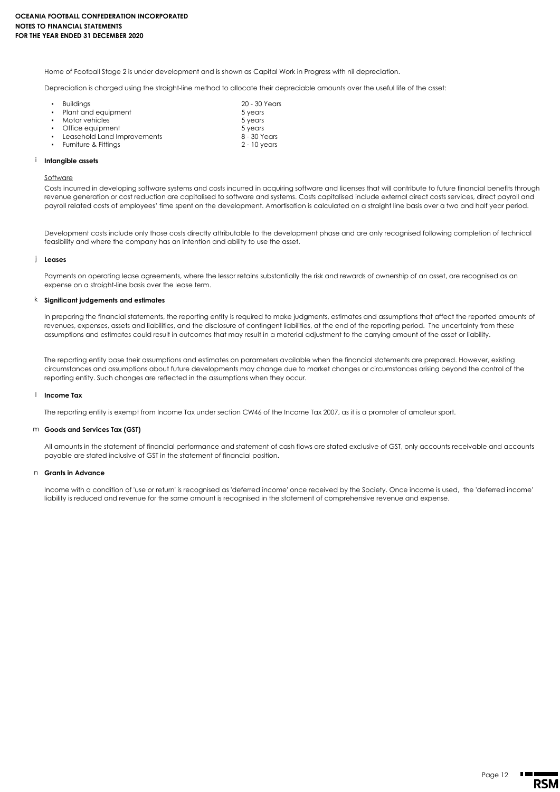Home of Football Stage 2 is under development and is shown as Capital Work in Progress with nil depreciation.

Depreciation is charged using the straight-line method to allocate their depreciable amounts over the useful life of the asset:

| $\blacksquare$ | <b>Buildinas</b>              | 20 - 30 Years  |
|----------------|-------------------------------|----------------|
|                | • Plant and eauipment         | 5 years        |
|                | • Motor vehicles              | 5 years        |
|                | • Office equipment            | 5 years        |
|                | • Leasehold Land Improvements | 8 - 30 Years   |
|                | • Furniture & Fittinas        | $2 - 10$ vears |
|                |                               |                |

#### i **Intangible assets**

**Software** 

Costs incurred in developing software systems and costs incurred in acquiring software and licenses that will contribute to future financial benefits through revenue generation or cost reduction are capitalised to software and systems. Costs capitalised include external direct costs services, direct payroll and payroll related costs of employees' time spent on the development. Amortisation is calculated on a straight line basis over a two and half year period.

Development costs include only those costs directly attributable to the development phase and are only recognised following completion of technical feasibility and where the company has an intention and ability to use the asset.

#### j **Leases**

Payments on operating lease agreements, where the lessor retains substantially the risk and rewards of ownership of an asset, are recognised as an expense on a straight-line basis over the lease term.

#### k **Significant judgements and estimates**

In preparing the financial statements, the reporting entity is required to make judgments, estimates and assumptions that affect the reported amounts of revenues, expenses, assets and liabilities, and the disclosure of contingent liabilities, at the end of the reporting period. The uncertainty from these assumptions and estimates could result in outcomes that may result in a material adjustment to the carrying amount of the asset or liability.

The reporting entity base their assumptions and estimates on parameters available when the financial statements are prepared. However, existing circumstances and assumptions about future developments may change due to market changes or circumstances arising beyond the control of the reporting entity. Such changes are reflected in the assumptions when they occur.

#### l **Income Tax**

The reporting entity is exempt from Income Tax under section CW46 of the Income Tax 2007, as it is a promoter of amateur sport.

#### m **Goods and Services Tax (GST)**

All amounts in the statement of financial performance and statement of cash flows are stated exclusive of GST, only accounts receivable and accounts payable are stated inclusive of GST in the statement of financial position.

#### n **Grants in Advance**

Income with a condition of 'use or return' is recognised as 'deferred income' once received by the Society. Once income is used, the 'deferred income' liability is reduced and revenue for the same amount is recognised in the statement of comprehensive revenue and expense.

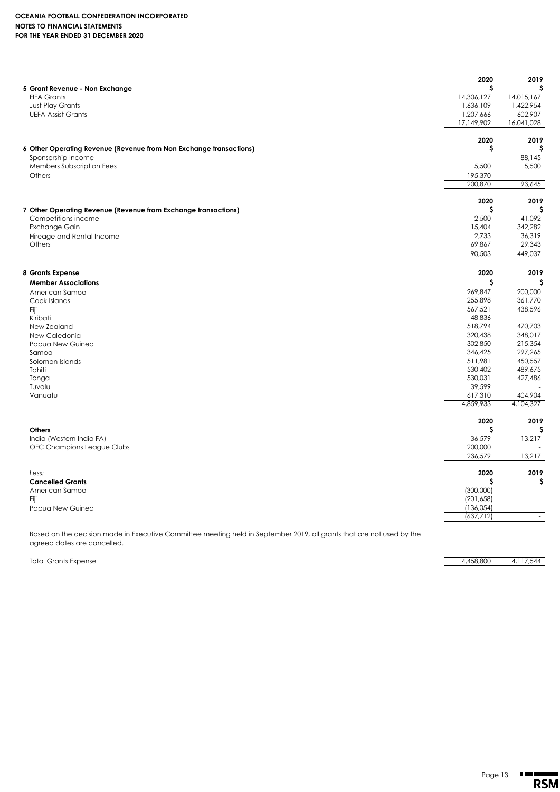### **OCEANIA FOOTBALL CONFEDERATION INCORPORATED NOTES TO FINANCIAL STATEMENTS FOR THE YEAR ENDED 31 DECEMBER 2020**

|                                                                    | 2020               | 2019               |
|--------------------------------------------------------------------|--------------------|--------------------|
| 5 Grant Revenue - Non Exchange                                     | \$                 | s                  |
| <b>FIFA Grants</b>                                                 | 14,306,127         | 14,015,167         |
| Just Play Grants                                                   | 1,636,109          | 1,422,954          |
| <b>UEFA Assist Grants</b>                                          | 1,207,666          | 602,907            |
|                                                                    | 17,149,902         | 16,041,028         |
|                                                                    | 2020               | 2019               |
| 6 Other Operating Revenue (Revenue from Non Exchange transactions) | \$                 | S                  |
| Sponsorship Income                                                 |                    | 88,145             |
| Members Subscription Fees                                          | 5,500              | 5,500              |
| Others                                                             | 195,370            |                    |
|                                                                    | 200,870            | 93,645             |
|                                                                    | 2020               | 2019               |
| 7 Other Operating Revenue (Revenue from Exchange transactions)     | \$                 | S                  |
| Competitions income                                                | 2,500              | 41,092             |
| Exchange Gain                                                      | 15,404             | 342,282            |
| Hireage and Rental Income                                          | 2,733              | 36,319             |
| Others                                                             | 69,867             | 29,343             |
|                                                                    | 90,503             | 449,037            |
|                                                                    |                    | 2019               |
| 8 Grants Expense                                                   | 2020               | S                  |
| <b>Member Associations</b>                                         | \$                 |                    |
| American Samoa                                                     | 269,847            | 200,000            |
| Cook Islands                                                       | 255,898            | 361,770            |
| Fiji                                                               | 567,521            | 438,596            |
| Kiribati                                                           | 48,836             |                    |
| New Zealand                                                        | 518,794<br>320,438 | 470,703<br>348,017 |
| New Caledonia                                                      | 302,850            | 215,354            |
| Papua New Guinea<br>Samoa                                          | 346,425            | 297,265            |
| Solomon Islands                                                    | 511,981            | 450,557            |
| Tahiti                                                             | 530,402            | 489,675            |
| Tonga                                                              | 530,031            | 427,486            |
| Tuvalu                                                             | 39,599             |                    |
| Vanuatu                                                            | 617,310            | 404,904            |
|                                                                    | 4,859,933          | 4,104,327          |
|                                                                    | 2020               | 2019               |
| <b>Others</b>                                                      | \$                 | \$                 |
| India (Western India FA)                                           | 36,579             | 13,217             |
| OFC Champions League Clubs                                         | 200,000            |                    |
|                                                                    | 236,579            | 13,217             |
| Less:                                                              | 2020               | 2019               |
| <b>Cancelled Grants</b>                                            | s                  | \$                 |
| American Samoa                                                     | (300,000)          |                    |
| Fiji                                                               | (201, 658)         |                    |
| Papua New Guinea                                                   | (136, 054)         |                    |
|                                                                    | (637, 712)         | $\sim$             |

Based on the decision made in Executive Committee meeting held in September 2019, all grants that are not used by the agreed dates are cancelled.

Total Grants Expense 4,117,544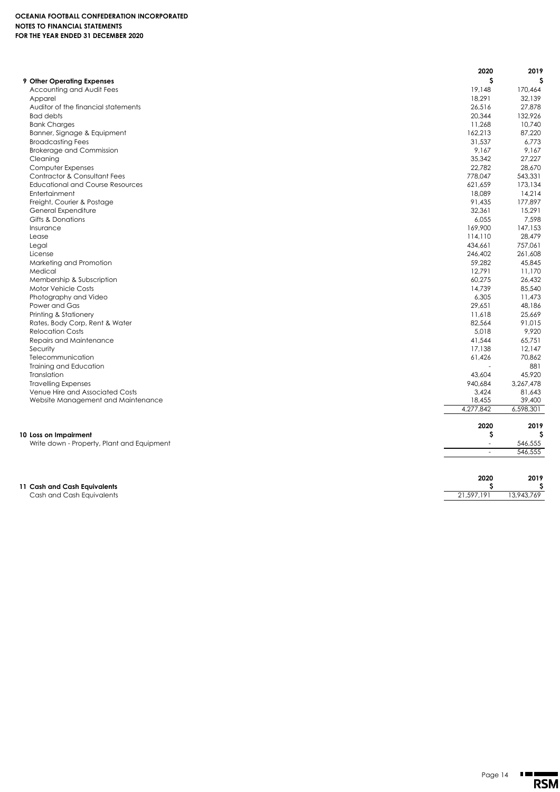|                                            | 2020       | 2019      |
|--------------------------------------------|------------|-----------|
| 9 Other Operating Expenses                 | \$         | s         |
| Accounting and Audit Fees                  | 19,148     | 170.464   |
| Apparel                                    | 18,291     | 32,139    |
| Auditor of the financial statements        | 26,516     | 27,878    |
| <b>Bad debts</b>                           | 20,344     | 132,926   |
| <b>Bank Charges</b>                        | 11,268     | 10,740    |
| Banner, Signage & Equipment                | 162,213    | 87,220    |
| <b>Broadcasting Fees</b>                   | 31,537     | 6,773     |
| <b>Brokerage and Commission</b>            | 9,167      | 9,167     |
| Cleaning                                   | 35,342     | 27,227    |
| Computer Expenses                          | 22,782     | 28,670    |
| <b>Contractor &amp; Consultant Fees</b>    | 778,047    | 543,331   |
| <b>Educational and Course Resources</b>    | 621,659    | 173,134   |
| Entertainment                              | 18,089     | 14,214    |
| Freight, Courier & Postage                 | 91,435     | 177,897   |
| General Expenditure                        | 32,361     | 15,291    |
| Gifts & Donations                          | 6,055      | 7,598     |
| Insurance                                  | 169,900    | 147,153   |
| Lease                                      | 114,110    | 28,479    |
| Legal                                      | 434,661    | 757,061   |
| License                                    | 246,402    | 261,608   |
| Marketing and Promotion                    | 59,282     | 45,845    |
| Medical                                    | 12,791     | 11,170    |
| Membership & Subscription                  | 60,275     | 26,432    |
| Motor Vehicle Costs                        | 14,739     | 85,540    |
| Photography and Video                      | 6,305      | 11,473    |
| Power and Gas                              | 29,651     | 48,186    |
| Printing & Stationery                      | 11,618     | 25,669    |
| Rates, Body Corp, Rent & Water             | 82,564     | 91,015    |
| <b>Relocation Costs</b>                    | 5,018      | 9,920     |
| Repairs and Maintenance                    | 41,544     | 65,751    |
| Security                                   | 17,138     | 12.147    |
| Telecommunication                          | 61,426     | 70,862    |
| <b>Training and Education</b>              |            | 881       |
| Translation                                | 43,604     | 45,920    |
| <b>Travelling Expenses</b>                 | 940,684    | 3,267,478 |
| Venue Hire and Associated Costs            | 3,424      | 81,643    |
| Website Management and Maintenance         | 18,455     | 39,400    |
|                                            | 4,277,842  | 6,598,301 |
|                                            |            |           |
|                                            | 2020<br>\$ | 2019<br>s |
| 10 Loss on Impairment                      | ÷,         |           |
| Write down - Property, Plant and Equipment |            | 546,555   |
|                                            | $\sim$     | 546,555   |
|                                            | 2020       | 2019      |
| 11 Cash and Cash Equivalents               | \$         | \$        |

Cash and Cash Equivalents 21,597,191 13,943,769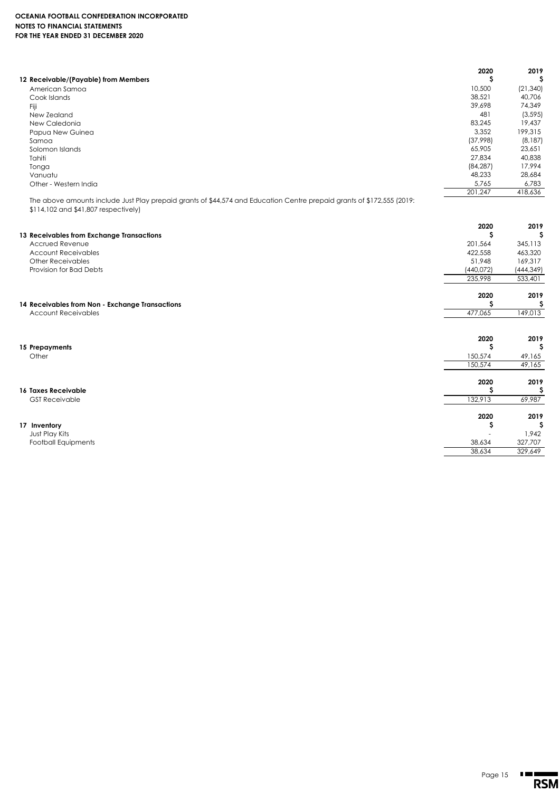|                                                                                                                                                                | 2020            | 2019              |
|----------------------------------------------------------------------------------------------------------------------------------------------------------------|-----------------|-------------------|
| 12 Receivable/(Payable) from Members                                                                                                                           | s               | S                 |
| American Samoa                                                                                                                                                 | 10,500          | (21, 340)         |
| Cook Islands                                                                                                                                                   | 38,521          | 40,706            |
| Fiji                                                                                                                                                           | 39,698          | 74,349            |
| New Zealand                                                                                                                                                    | 481             | (3, 595)          |
| New Caledonia                                                                                                                                                  | 83,245<br>3,352 | 19,437<br>199,315 |
| Papua New Guinea<br>Samoa                                                                                                                                      | (37,998)        | (8, 187)          |
| Solomon Islands                                                                                                                                                | 65,905          | 23,651            |
| Tahiti                                                                                                                                                         | 27,834          | 40,838            |
| Tonga                                                                                                                                                          | (84, 287)       | 17,994            |
| Vanuatu                                                                                                                                                        | 48,233          | 28,684            |
| Other - Western India                                                                                                                                          | 5,765           | 6,783             |
|                                                                                                                                                                | 201,247         | 418,636           |
| The above amounts include Just Play prepaid grants of \$44,574 and Education Centre prepaid grants of \$172,555 (2019:<br>\$114,102 and \$41,807 respectively) |                 |                   |
|                                                                                                                                                                | 2020            | 2019              |
| 13 Receivables from Exchange Transactions                                                                                                                      | s               | S                 |
| Accrued Revenue                                                                                                                                                | 201,564         | 345,113           |
| <b>Account Receivables</b>                                                                                                                                     | 422,558         | 463,320           |
| <b>Other Receivables</b>                                                                                                                                       | 51,948          | 169,317           |
| Provision for Bad Debts                                                                                                                                        | (440, 072)      | (444, 349)        |
|                                                                                                                                                                | 235,998         | 533,401           |
|                                                                                                                                                                | 2020            | 2019              |
| 14 Receivables from Non - Exchange Transactions                                                                                                                | \$              | \$                |
| <b>Account Receivables</b>                                                                                                                                     | 477,065         | 149,013           |
|                                                                                                                                                                |                 |                   |
|                                                                                                                                                                | 2020            | 2019              |
| 15 Prepayments                                                                                                                                                 | \$              | S                 |
| Other                                                                                                                                                          | 150,574         | 49,165            |
|                                                                                                                                                                | 150,574         | 49,165            |
|                                                                                                                                                                | 2020            | 2019              |
| <b>16 Taxes Receivable</b>                                                                                                                                     | s               | \$                |
| <b>GST Receivable</b>                                                                                                                                          | 132,913         | 69,987            |
|                                                                                                                                                                | 2020            | 2019              |
| 17 Inventory                                                                                                                                                   | \$              | \$                |
| Just Play Kits                                                                                                                                                 |                 | 1,942             |
| <b>Football Equipments</b>                                                                                                                                     | 38,634          | 327,707           |
|                                                                                                                                                                | 38,634          | 329,649           |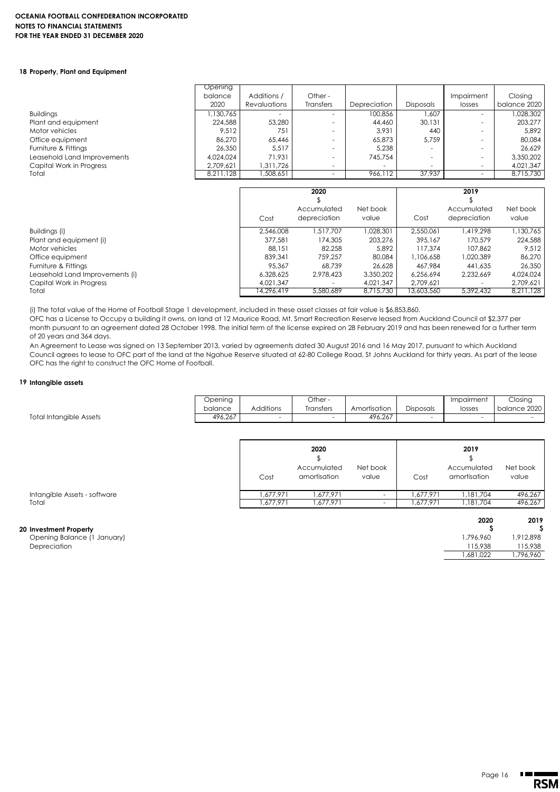#### **OCEANIA FOOTBALL CONFEDERATION INCORPORATED NOTES TO FINANCIAL STATEMENTS FOR THE YEAR ENDED 31 DECEMBER 2020**

#### **18 Property, Plant and Equipment**

|                             | Opening   |                |                          |                          |                          |                          |              |
|-----------------------------|-----------|----------------|--------------------------|--------------------------|--------------------------|--------------------------|--------------|
|                             | balance   | Additions /    | Other -                  |                          |                          | Impairment               | Closing      |
|                             | 2020      | Revaluations   | <b>Transfers</b>         | Depreciation             | <b>Disposals</b>         | losses                   | balance 2020 |
| <b>Buildings</b>            | 1,130,765 | $\overline{a}$ | $\overline{\phantom{a}}$ | 100,856                  | 1.607                    | $\sim$                   | 1,028,302    |
| Plant and equipment         | 224,588   | 53,280         | $\overline{\phantom{a}}$ | 44,460                   | 30.131                   |                          | 203.277      |
| Motor vehicles              | 9.512     | 751            | $\overline{\phantom{a}}$ | 3.931                    | 440                      | $\sim$                   | 5.892        |
| Office equipment            | 86,270    | 65.446         |                          | 65.873                   | 5.759                    |                          | 80,084       |
| Furniture & Fittings        | 26,350    | 5.517          | $\overline{\phantom{a}}$ | 5.238                    | $\overline{\phantom{a}}$ | $\sim$                   | 26.629       |
| Leasehold Land Improvements | 4,024,024 | 71.931         | $\overline{\phantom{a}}$ | 745.754                  | $\overline{\phantom{a}}$ |                          | 3,350,202    |
| Capital Work in Progress    | 2,709,621 | .311,726       | $\sim$                   | $\overline{\phantom{a}}$ | $\overline{\phantom{a}}$ | $\overline{\phantom{a}}$ | 4,021,347    |
| Total                       | 8,211,128 | ,508,651       | $\overline{\phantom{a}}$ | 966.112                  | 37.937                   |                          | 8.715.730    |
|                             |           |                |                          |                          |                          |                          |              |

|                                 |            | 2020                     |           |            | 2019         |           |
|---------------------------------|------------|--------------------------|-----------|------------|--------------|-----------|
|                                 |            |                          |           |            |              |           |
|                                 |            | Accumulated              | Net book  |            | Accumulated  | Net book  |
|                                 | Cost       | depreciation             | value     | Cost       | depreciation | value     |
| Buildings (i)                   | 2,546,008  | .517.707                 | 028.301   | 2.550.061  | 419.298      | ,130,765  |
| Plant and equipment (i)         | 377.581    | 174,305                  | 203.276   | 395.167    | 170.579      | 224,588   |
| Motor vehicles                  | 88.151     | 82.258                   | 5.892     | 117.374    | 107.862      | 9.512     |
| Office equipment                | 839,341    | 759.257                  | 80,084    | 1,106,658  | 1,020,389    | 86,270    |
| Furniture & Fittings            | 95.367     | 68.739                   | 26,628    | 467.984    | 441.635      | 26,350    |
| Leasehold Land Improvements (i) | 6.328.625  | 2.978.423                | 3,350,202 | 6.256.694  | 2.232.669    | 4,024,024 |
| Capital Work in Progress        | 4.021.347  | $\overline{\phantom{a}}$ | 4.021.347 | 2.709.621  |              | 2,709,621 |
| Total                           | 14.296.419 | 5.580.689                | 8,715,730 | 13,603,560 | 5.392.432    | 8.211.128 |

(i) The total value of the Home of Football Stage 1 development, included in these asset classes at fair value is \$6,853,860.

OFC has a License to Occupy a building it owns, on land at 12 Maurice Road, Mt. Smart Recreation Reserve leased from Auckland Council at \$2,377 per month pursuant to an agreement dated 28 October 1998. The initial term of the license expired on 28 February 2019 and has been renewed for a further term of 20 years and 364 days.

An Agreement to Lease was signed on 13 September 2013, varied by agreements dated 30 August 2016 and 16 May 2017, pursuant to which Auckland Council agrees to lease to OFC part of the land at the Ngahue Reserve situated at 62-80 College Road, St Johns Auckland for thirty years. As part of the lease OFC has the right to construct the OFC Home of Football.

#### **19 Intangible assets**

Total Intangible Assets

| Jpening |                          | Other -   |              |                  | Impairment | Closing      |
|---------|--------------------------|-----------|--------------|------------------|------------|--------------|
| balance | <b>Additions</b>         | Transfers | Amortisation | <b>Disposals</b> | losses     | balance 2020 |
| 496.267 | $\overline{\phantom{a}}$ | -         | 496.267      | -                |            |              |

|                              | Cost      | 2020<br>Accumulated<br>amortisation | Net book<br>value | Cost     | 2019<br>Accumulated<br>amortisation | Net book<br>value |
|------------------------------|-----------|-------------------------------------|-------------------|----------|-------------------------------------|-------------------|
| Intangible Assets - software | 1.677.971 | .677.971                            |                   | ,677,971 | 1.181.704                           | 496,267           |
| Total                        | ,677,971  | .677.971                            |                   | .677.971 | .181.704                            | 496,267           |

### **20 Investment Property \$ \$**

| Investment Property         |           |           |
|-----------------------------|-----------|-----------|
| Opening Balance (1 January) | 1.796.960 | 1,912,898 |
| Depreciation                | 115,938   | 115,938   |
|                             | .681.022  | .796,960  |

Page 16

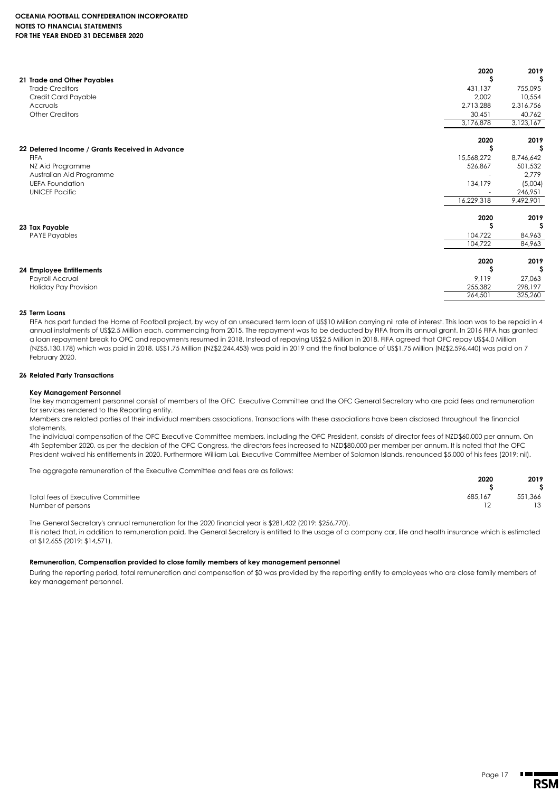#### **OCEANIA FOOTBALL CONFEDERATION INCORPORATED NOTES TO FINANCIAL STATEMENTS FOR THE YEAR ENDED 31 DECEMBER 2020**

| 21 Trade and Other Payables                     | 2020<br>s  | 2019      |
|-------------------------------------------------|------------|-----------|
| <b>Trade Creditors</b>                          | 431,137    | 755,095   |
| Credit Card Payable                             | 2,002      | 10,554    |
| Accruals                                        | 2,713,288  | 2,316,756 |
| <b>Other Creditors</b>                          | 30,451     | 40,762    |
|                                                 | 3,176,878  | 3,123,167 |
|                                                 | 2020       | 2019      |
| 22 Deferred Income / Grants Received in Advance |            |           |
| <b>FIFA</b>                                     | 15,568,272 | 8,746,642 |
| NZ Aid Programme                                | 526,867    | 501,532   |
| Australian Aid Programme                        |            | 2,779     |
| <b>UEFA Foundation</b>                          | 134,179    | (5,004)   |
| <b>UNICEF Pacific</b>                           |            | 246,951   |
|                                                 | 16,229,318 | 9,492,901 |
|                                                 | 2020       | 2019      |
| 23 Tax Payable                                  |            | S         |
| <b>PAYE Payables</b>                            | 104,722    | 84,963    |
|                                                 | 104,722    | 84,963    |
|                                                 | 2020       | 2019      |
| 24 Employee Entitlements                        |            | -S        |
| Payroll Accrual                                 | 9,119      | 27,063    |
| Holiday Pay Provision                           | 255,382    | 298,197   |
|                                                 | 264,501    | 325,260   |

#### **25 Term Loans**

FIFA has part funded the Home of Football project, by way of an unsecured term loan of US\$10 Million carrying nil rate of interest. This loan was to be repaid in 4 annual instalments of US\$2.5 Million each, commencing from 2015. The repayment was to be deducted by FIFA from its annual grant. In 2016 FIFA has granted a loan repayment break to OFC and repayments resumed in 2018. Instead of repaying US\$2.5 Million in 2018, FIFA agreed that OFC repay US\$4.0 Million (NZ\$5,130,178) which was paid in 2018. US\$1.75 Million (NZ\$2,244,453) was paid in 2019 and the final balance of US\$1.75 Million (NZ\$2,596,440) was paid on 7 February 2020.

### **26 Related Party Transactions**

#### **Key Management Personnel**

The key management personnel consist of members of the OFC Executive Committee and the OFC General Secretary who are paid fees and remuneration for services rendered to the Reporting entity.

Members are related parties of their individual members associations. Transactions with these associations have been disclosed throughout the financial statements.

The individual compensation of the OFC Executive Committee members, including the OFC President, consists of director fees of NZD\$60,000 per annum. On 4th September 2020, as per the decision of the OFC Congress, the directors fees increased to NZD\$80,000 per member per annum. It is noted that the OFC President waived his entitlements in 2020. Furthermore William Lai, Executive Committee Member of Solomon Islands, renounced \$5,000 of his fees (2019: nil).

The aggregate remuneration of the Executive Committee and fees are as follows:

| 2020                                         | 2019    |
|----------------------------------------------|---------|
|                                              |         |
| 685,167<br>Total fees of Executive Committee | 551,366 |
| Number of persons                            | 13      |

The General Secretary's annual remuneration for the 2020 financial year is \$281,402 (2019: \$256,770).

It is noted that, in addition to remuneration paid, the General Secretary is entitled to the usage of a company car, life and health insurance which is estimated at \$12,655 (2019: \$14,571).

#### **Remuneration, Compensation provided to close family members of key management personnel**

During the reporting period, total remuneration and compensation of \$0 was provided by the reporting entity to employees who are close family members of key management personnel.

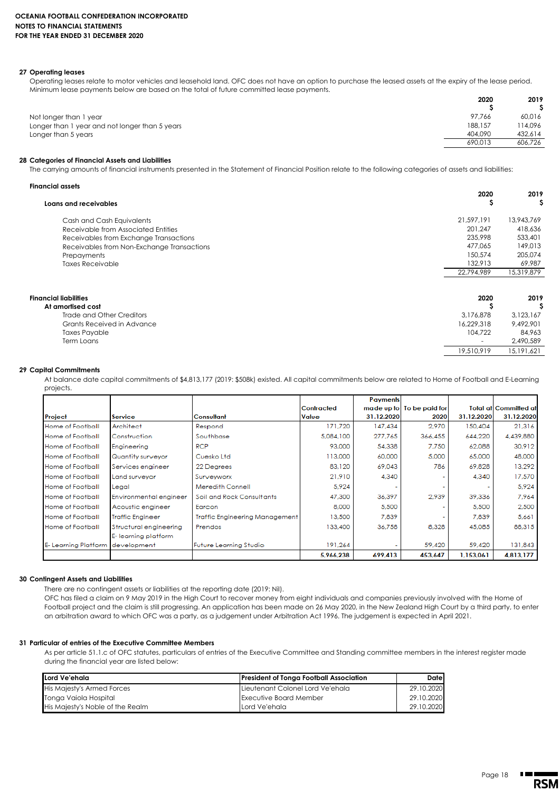#### **27 Operating leases**

Operating leases relate to motor vehicles and leasehold land. OFC does not have an option to purchase the leased assets at the expiry of the lease period. Minimum lease payments below are based on the total of future committed lease payments.

| 2020    | 2019    |
|---------|---------|
|         |         |
| 97.766  | 60.016  |
| 188,157 | 114.096 |
| 404.090 | 432.614 |
| 690.013 | 606.726 |
|         |         |

#### **28 Categories of Financial Assets and Liabilities**

The carrying amounts of financial instruments presented in the Statement of Financial Position relate to the following categories of assets and liabilities:

| Financial assets                           |            |            |
|--------------------------------------------|------------|------------|
| Loans and receivables                      | 2020       | 2019       |
| Cash and Cash Equivalents                  | 21,597,191 | 13,943,769 |
| Receivable from Associated Entities        | 201.247    | 418,636    |
| Receivables from Exchange Transactions     | 235,998    | 533,401    |
| Receivables from Non-Exchange Transactions | 477.065    | 149,013    |
| Prepayments                                | 150,574    | 205,074    |
| <b>Taxes Receivable</b>                    | 132,913    | 69,987     |
|                                            | 22,794,989 | 15,319,879 |
| Financial liabilities                      | 2020       | 2019       |
| At amortised cost                          | S          |            |
| Trade and Other Creditors                  | 3,176,878  | 3,123,167  |
| Grants Received in Advance                 | 16,229,318 | 9,492,901  |
| <b>Taxes Payable</b>                       | 104,722    | 84,963     |
| Term Loans                                 |            | 2,490,589  |
|                                            | 19,510,919 | 15,191,621 |

#### **29 Capital Commitments**

At balance date capital commitments of \$4,813,177 (2019: \$508k) existed. All capital commitments below are related to Home of Football and E-Learning projects.

|                                 |                         |                                       |                   | <b>Payments</b> |                           |            |                              |
|---------------------------------|-------------------------|---------------------------------------|-------------------|-----------------|---------------------------|------------|------------------------------|
|                                 |                         |                                       | <b>Contracted</b> |                 | made up to To be paid for |            | <b>Total at Committed at</b> |
| Project                         | Service                 | <b>Consultant</b>                     | Value             | 31.12.2020      | 2020                      | 31.12.2020 | 31.12.2020                   |
| Home of Football                | Architect               | Respond                               | 171,720           | 147,434         | 2,970                     | 150,404    | 21,316                       |
| Home of Football                | Construction            | Southbase                             | 5,084,100         | 277,765         | 366,455                   | 644,220    | 4,439,880                    |
| Home of Football                | Engineering             | <b>RCP</b>                            | 93,000            | 54,338          | 7.750                     | 62,088     | 30,912                       |
| Home of Football                | Quantity surveyor       | Cuesko Ltd                            | 113,000           | 60,000          | 5,000                     | 65,000     | 48,000                       |
| Home of Football                | Services engineer       | 22 Degrees                            | 83.120            | 69.043          | 786                       | 69.828     | 13,292                       |
| Home of Football                | Land surveyor           | Surveyworx                            | 21,910            | 4,340           |                           | 4,340      | 17,570                       |
| Home of Football                | Legal                   | Meredith Connell                      | 5,924             |                 |                           |            | 5,924                        |
| Home of Football                | Environmental engineer  | Soil and Rock Consultants             | 47,300            | 36,397          | 2,939                     | 39.336     | 7,964                        |
| Home of Football                | Acoustic engineer       | Earcon                                | 8,000             | 5,500           |                           | 5,500      | 2,500                        |
| Home of Football                | <b>Traffic Engineer</b> | <b>Traffic Engineering Management</b> | 13,500            | 7,839           |                           | 7,839      | 5,661                        |
| Home of Football                | Structural engineering  | Prendos                               | 133,400           | 36,758          | 8,328                     | 45,085     | 88,315                       |
|                                 | E-learning platform     |                                       |                   |                 |                           |            |                              |
| E-Learning Platform development |                         | Future Learning Studio                | 191,264           |                 | 59,420                    | 59.420     | 131,843                      |
|                                 |                         |                                       | 5,966,238         | 699,413         | 453,647                   | 1,153,061  | 4,813,177                    |

#### **30 Contingent Assets and Liabilities**

There are no contingent assets or liabilities at the reporting date (2019: Nil).

OFC has filed a claim on 9 May 2019 in the High Court to recover money from eight individuals and companies previously involved with the Home of Football project and the claim is still progressing. An application has been made on 26 May 2020, in the New Zealand High Court by a third party, to enter an arbitration award to which OFC was a party, as a judgement under Arbitration Act 1996. The judgement is expected in April 2021.

#### **31 Particular of entries of the Executive Committee Members**

As per article 51.1.c of OFC statutes, particulars of entries of the Executive Committee and Standing committee members in the interest register made during the financial year are listed below:

| Lord Ve'ehala                    | <b>President of Tonga Football Association</b> | Datel      |
|----------------------------------|------------------------------------------------|------------|
| His Majesty's Armed Forces       | I Lieutenant Colonel Lord Ve'ehala             | 29.10.2020 |
| Tonga Vaiola Hospital            | <b>Executive Board Member</b>                  | 29.10.2020 |
| His Majesty's Noble of the Realm | Lord Ve'ehala                                  | 29.10.2020 |